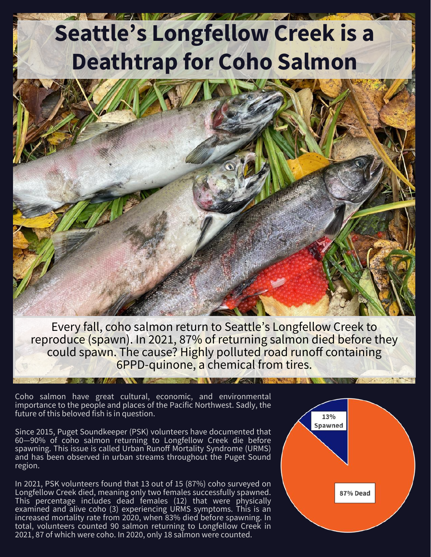# **Seattle's Longfellow Creek is a Deathtrap for Coho Salmon**



Every fall, coho salmon return to Seattle's Longfellow Creek to reproduce (spawn). In 2021, 87% of returning salmon died before they could spawn. The cause? Highly polluted road runoff containing 6PPD-quinone, a chemical from tires.

Coho salmon have great cultural, economic, and environmental importance to the people and places of the Pacific Northwest. Sadly, the future of this beloved fish is in question.

Since 2015, Puget Soundkeeper (PSK) volunteers have documented that 60—90% of coho salmon returning to Longfellow Creek die before spawning. This issue is called Urban Runoff Mortality Syndrome (URMS) and has been observed in urban streams throughout the Puget Sound region.

In 2021, PSK volunteers found that 13 out of 15 (87%) coho surveyed on Longfellow Creek died, meaning only two females successfully spawned. This percentage includes dead females (12) that were physically examined and alive coho (3) experiencing URMS symptoms. This is an increased mortality rate from 2020, when 83% died before spawning. In total, volunteers counted 90 salmon returning to Longfellow Creek in 2021, 87 of which were coho. In 2020, only 18 salmon were counted.